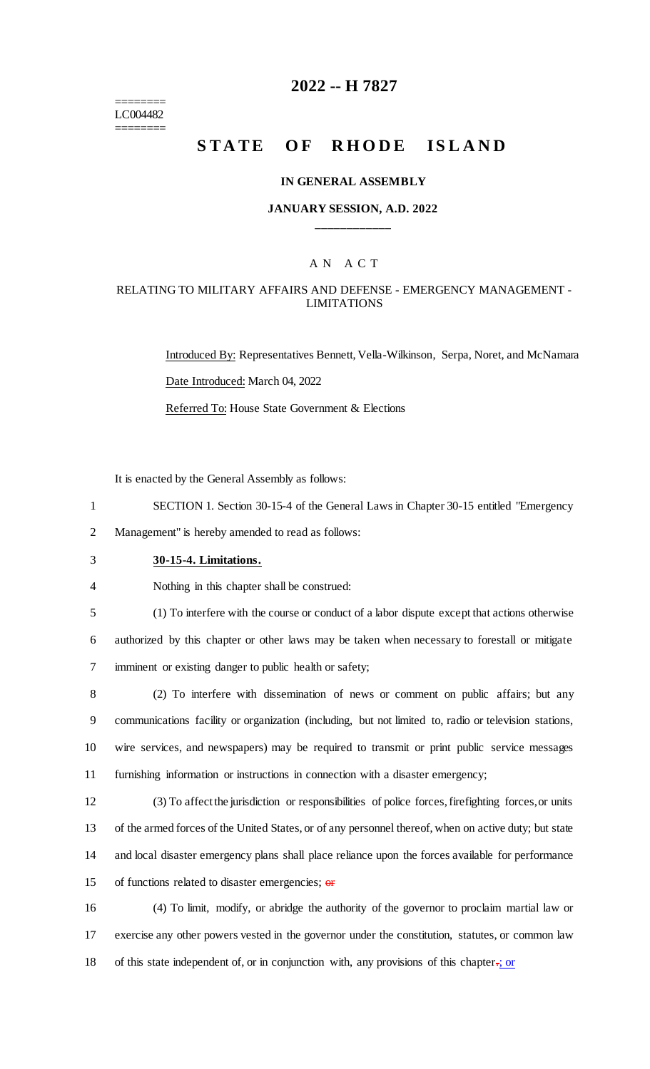======== LC004482 ========

# **2022 -- H 7827**

# **STATE OF RHODE ISLAND**

### **IN GENERAL ASSEMBLY**

### **JANUARY SESSION, A.D. 2022 \_\_\_\_\_\_\_\_\_\_\_\_**

# A N A C T

### RELATING TO MILITARY AFFAIRS AND DEFENSE - EMERGENCY MANAGEMENT - LIMITATIONS

Introduced By: Representatives Bennett, Vella-Wilkinson, Serpa, Noret, and McNamara Date Introduced: March 04, 2022 Referred To: House State Government & Elections

It is enacted by the General Assembly as follows:

1 SECTION 1. Section 30-15-4 of the General Laws in Chapter 30-15 entitled "Emergency

2 Management" is hereby amended to read as follows:

3 **30-15-4. Limitations.**

4 Nothing in this chapter shall be construed:

5 (1) To interfere with the course or conduct of a labor dispute except that actions otherwise

6 authorized by this chapter or other laws may be taken when necessary to forestall or mitigate 7 imminent or existing danger to public health or safety;

 (2) To interfere with dissemination of news or comment on public affairs; but any communications facility or organization (including, but not limited to, radio or television stations, wire services, and newspapers) may be required to transmit or print public service messages furnishing information or instructions in connection with a disaster emergency;

 (3) To affect the jurisdiction or responsibilities of police forces, firefighting forces, or units of the armed forces of the United States, or of any personnel thereof, when on active duty; but state and local disaster emergency plans shall place reliance upon the forces available for performance 15 of functions related to disaster emergencies;  $\theta$ 

16 (4) To limit, modify, or abridge the authority of the governor to proclaim martial law or 17 exercise any other powers vested in the governor under the constitution, statutes, or common law 18 of this state independent of, or in conjunction with, any provisions of this chapter.; or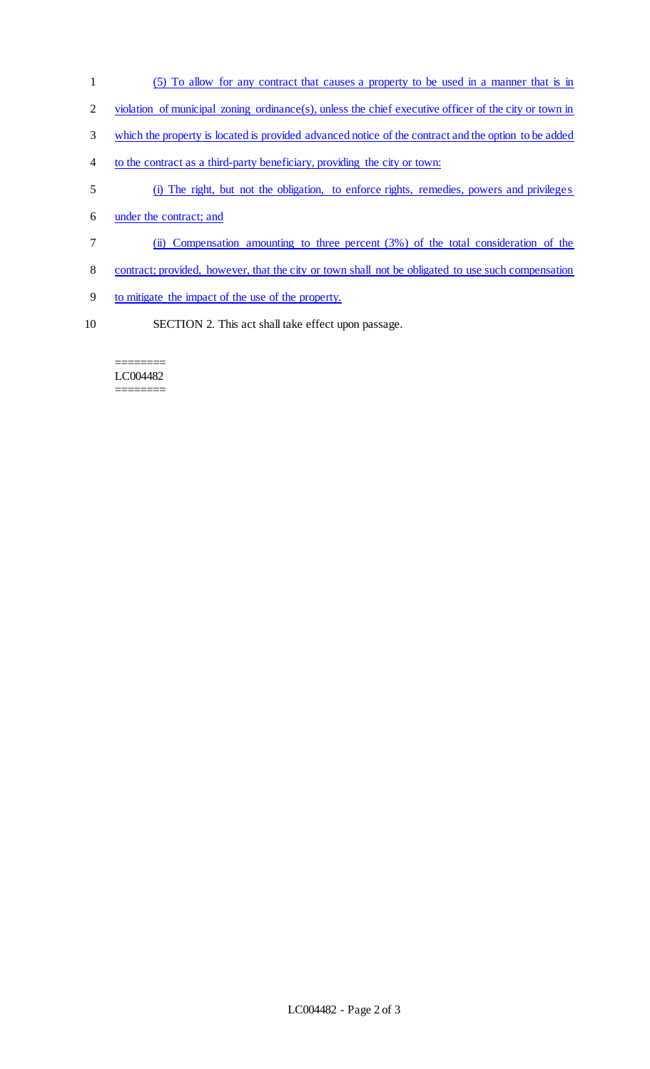- (5) To allow for any contract that causes a property to be used in a manner that is in
- 2 violation of municipal zoning ordinance(s), unless the chief executive officer of the city or town in
- which the property is located is provided advanced notice of the contract and the option to be added
- to the contract as a third-party beneficiary, providing the city or town:
- (i) The right, but not the obligation, to enforce rights, remedies, powers and privileges
- under the contract; and
- (ii) Compensation amounting to three percent (3%) of the total consideration of the
- contract; provided, however, that the city or town shall not be obligated to use such compensation
- to mitigate the impact of the use of the property.
- SECTION 2. This act shall take effect upon passage.

#### ======== LC004482 ========